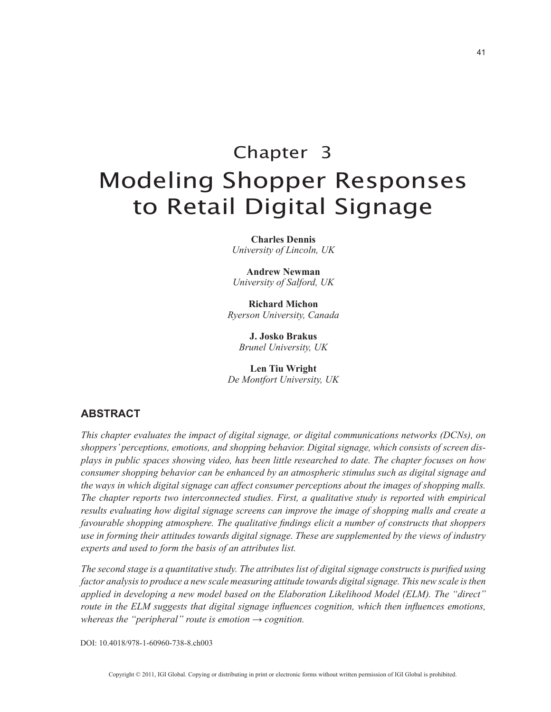# Chapter 3 Modeling Shopper Responses to Retail Digital Signage

**Charles Dennis** *University of Lincoln, UK*

**Andrew Newman** *University of Salford, UK*

**Richard Michon** *Ryerson University, Canada*

**J. Josko Brakus** *Brunel University, UK*

**Len Tiu Wright** *De Montfort University, UK*

## **ABSTRACT**

*This chapter evaluates the impact of digital signage, or digital communications networks (DCNs), on shoppers' perceptions, emotions, and shopping behavior. Digital signage, which consists of screen displays in public spaces showing video, has been little researched to date. The chapter focuses on how consumer shopping behavior can be enhanced by an atmospheric stimulus such as digital signage and the ways in which digital signage can affect consumer perceptions about the images of shopping malls. The chapter reports two interconnected studies. First, a qualitative study is reported with empirical results evaluating how digital signage screens can improve the image of shopping malls and create a favourable shopping atmosphere. The qualitative findings elicit a number of constructs that shoppers use in forming their attitudes towards digital signage. These are supplemented by the views of industry experts and used to form the basis of an attributes list.*

*The second stage is a quantitative study. The attributes list of digital signage constructs is purified using factor analysis to produce a new scale measuring attitude towards digital signage. This new scale is then applied in developing a new model based on the Elaboration Likelihood Model (ELM). The "direct" route in the ELM suggests that digital signage influences cognition, which then influences emotions, whereas the "peripheral" route is emotion*  $\rightarrow$  *cognition.* 

DOI: 10.4018/978-1-60960-738-8.ch003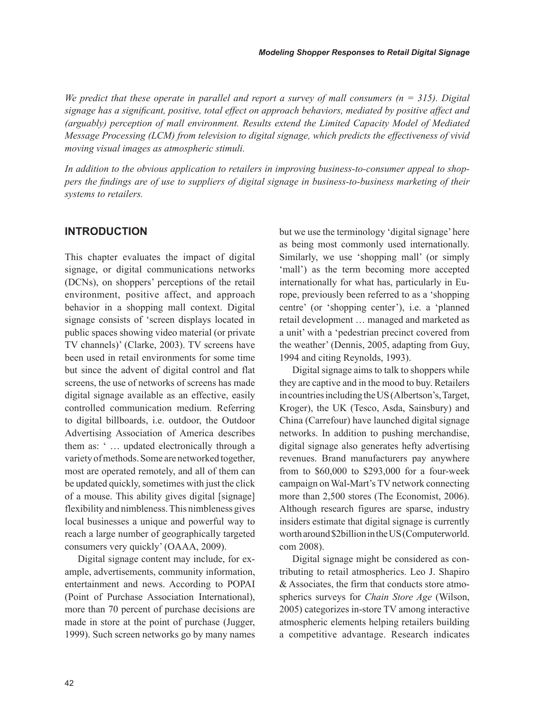*We predict that these operate in parallel and report a survey of mall consumers (n = 315). Digital signage has a significant, positive, total effect on approach behaviors, mediated by positive affect and (arguably) perception of mall environment. Results extend the Limited Capacity Model of Mediated Message Processing (LCM) from television to digital signage, which predicts the effectiveness of vivid moving visual images as atmospheric stimuli.*

*In addition to the obvious application to retailers in improving business-to-consumer appeal to shoppers the findings are of use to suppliers of digital signage in business-to-business marketing of their systems to retailers.*

## **INTRODUCTION**

This chapter evaluates the impact of digital signage, or digital communications networks (DCNs), on shoppers' perceptions of the retail environment, positive affect, and approach behavior in a shopping mall context. Digital signage consists of 'screen displays located in public spaces showing video material (or private TV channels)' (Clarke, 2003). TV screens have been used in retail environments for some time but since the advent of digital control and flat screens, the use of networks of screens has made digital signage available as an effective, easily controlled communication medium. Referring to digital billboards, i.e. outdoor, the Outdoor Advertising Association of America describes them as: ' … updated electronically through a variety of methods. Some are networked together, most are operated remotely, and all of them can be updated quickly, sometimes with just the click of a mouse. This ability gives digital [signage] flexibility and nimbleness. This nimbleness gives local businesses a unique and powerful way to reach a large number of geographically targeted consumers very quickly' (OAAA, 2009).

Digital signage content may include, for example, advertisements, community information, entertainment and news. According to POPAI (Point of Purchase Association International), more than 70 percent of purchase decisions are made in store at the point of purchase (Jugger, 1999). Such screen networks go by many names but we use the terminology 'digital signage' here as being most commonly used internationally. Similarly, we use 'shopping mall' (or simply 'mall') as the term becoming more accepted internationally for what has, particularly in Europe, previously been referred to as a 'shopping centre' (or 'shopping center'), i.e. a 'planned retail development … managed and marketed as a unit' with a 'pedestrian precinct covered from the weather' (Dennis, 2005, adapting from Guy, 1994 and citing Reynolds, 1993).

Digital signage aims to talk to shoppers while they are captive and in the mood to buy. Retailers in countries including the US (Albertson's, Target, Kroger), the UK (Tesco, Asda, Sainsbury) and China (Carrefour) have launched digital signage networks. In addition to pushing merchandise, digital signage also generates hefty advertising revenues. Brand manufacturers pay anywhere from to \$60,000 to \$293,000 for a four-week campaign on Wal-Mart's TV network connecting more than 2,500 stores (The Economist, 2006). Although research figures are sparse, industry insiders estimate that digital signage is currently worth around \$2billion in the US (Computerworld. com 2008).

Digital signage might be considered as contributing to retail atmospherics. Leo J. Shapiro & Associates, the firm that conducts store atmospherics surveys for *Chain Store Age* (Wilson, 2005) categorizes in-store TV among interactive atmospheric elements helping retailers building a competitive advantage. Research indicates